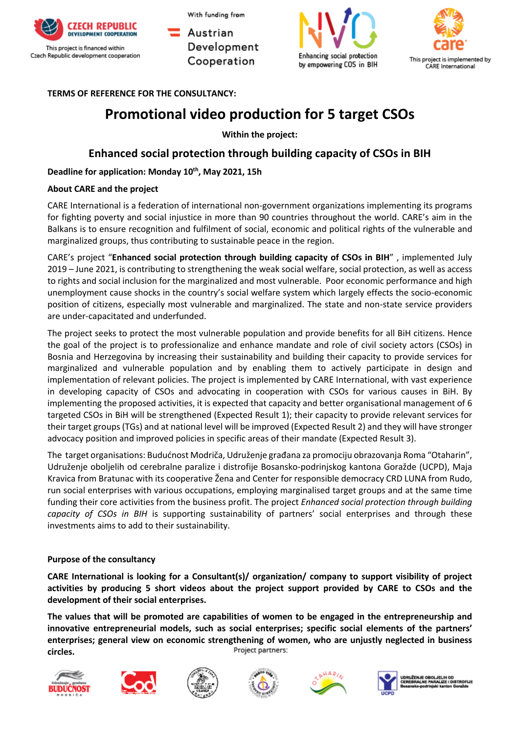

Austrian Development Cooperation





**TERMS OF REFERENCE FOR THE CONSULTANCY:** 

# **Promotional video production for 5 target CSOs**

**Within the project:**

## **Enhanced social protection through building capacity of CSOs in BIH**

## **Deadline for application: Monday 10th, May 2021, 15h**

### **About CARE and the project**

CARE International is a federation of international non-government organizations implementing its programs for fighting poverty and social injustice in more than 90 countries throughout the world. CARE's aim in the Balkans is to ensure recognition and fulfilment of social, economic and political rights of the vulnerable and marginalized groups, thus contributing to sustainable peace in the region.

CARE's project "**Enhanced social protection through building capacity of CSOs in BIH**" , implemented July 2019 – June 2021, is contributing to strengthening the weak social welfare, social protection, as well as access to rights and social inclusion for the marginalized and most vulnerable. Poor economic performance and high unemployment cause shocks in the country's social welfare system which largely effects the socio-economic position of citizens, especially most vulnerable and marginalized. The state and non-state service providers are under-capacitated and underfunded.

The project seeks to protect the most vulnerable population and provide benefits for all BiH citizens. Hence the goal of the project is to professionalize and enhance mandate and role of civil society actors (CSOs) in Bosnia and Herzegovina by increasing their sustainability and building their capacity to provide services for marginalized and vulnerable population and by enabling them to actively participate in design and implementation of relevant policies. The project is implemented by CARE International, with vast experience in developing capacity of CSOs and advocating in cooperation with CSOs for various causes in BiH. By implementing the proposed activities, it is expected that capacity and better organisational management of 6 targeted CSOs in BiH will be strengthened (Expected Result 1); their capacity to provide relevant services for their target groups (TGs) and at national level will be improved (Expected Result 2) and they will have stronger advocacy position and improved policies in specific areas of their mandate (Expected Result 3).

The target organisations: Budućnost Modriča, Udruženje građana za promociju obrazovanja Roma "Otaharin", Udruženje oboljelih od cerebralne paralize i distrofije Bosansko-podrinjskog kantona Goražde (UCPD), Maja Kravica from Bratunac with its cooperative Žena and Center for responsible democracy CRD LUNA from Rudo, run social enterprises with various occupations, employing marginalised target groups and at the same time funding their core activities from the business profit. The project *Enhanced social protection through building capacity of CSOs in BIH* is supporting sustainability of partners' social enterprises and through these investments aims to add to their sustainability.

## **Purpose of the consultancy**

**CARE International is looking for a Consultant(s)/ organization/ company to support visibility of project activities by producing 5 short videos about the project support provided by CARE to CSOs and the development of their social enterprises.** 

**The values that will be promoted are capabilities of women to be engaged in the entrepreneurship and innovative entrepreneurial models, such as social enterprises; specific social elements of the partners' enterprises; general view on economic strengthening of women, who are unjustly neglected in business**  Project partners: **circles.**













OBOLJELIH OD<br>E PARALIZE I DISTROFIJE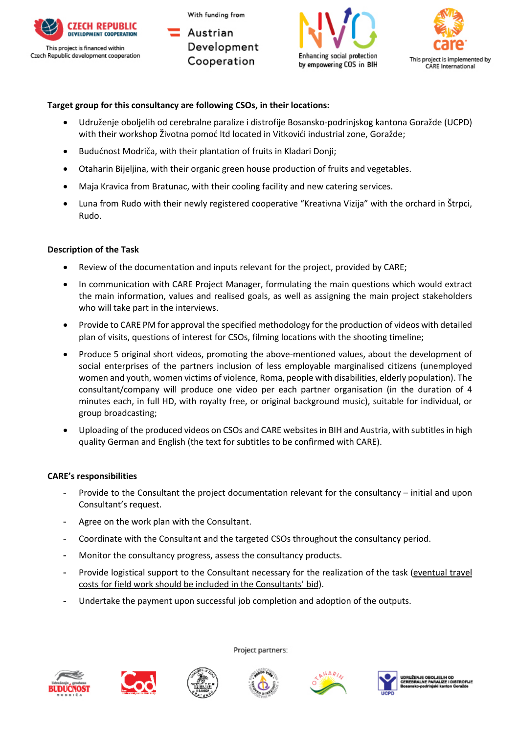

Austrian Development Cooperation





### **Target group for this consultancy are following CSOs, in their locations:**

- Udruženje oboljelih od cerebralne paralize i distrofije Bosansko-podrinjskog kantona Goražde (UCPD) with their workshop Životna pomoć ltd located in Vitkovići industrial zone, Goražde;
- Budućnost Modriča, with their plantation of fruits in Kladari Donji;
- Otaharin Bijeljina, with their organic green house production of fruits and vegetables.
- Maja Kravica from Bratunac, with their cooling facility and new catering services.
- Luna from Rudo with their newly registered cooperative "Kreativna Vizija" with the orchard in Štrpci, Rudo.

#### **Description of the Task**

- Review of the documentation and inputs relevant for the project, provided by CARE;
- In communication with CARE Project Manager, formulating the main questions which would extract the main information, values and realised goals, as well as assigning the main project stakeholders who will take part in the interviews.
- Provide to CARE PM for approval the specified methodology for the production of videos with detailed plan of visits, questions of interest for CSOs, filming locations with the shooting timeline;
- Produce 5 original short videos, promoting the above-mentioned values, about the development of social enterprises of the partners inclusion of less employable marginalised citizens (unemployed women and youth, women victims of violence, Roma, people with disabilities, elderly population). The consultant/company will produce one video per each partner organisation (in the duration of 4 minutes each, in full HD, with royalty free, or original background music), suitable for individual, or group broadcasting;
- Uploading of the produced videos on CSOs and CARE websites in BIH and Austria, with subtitles in high quality German and English (the text for subtitles to be confirmed with CARE).

#### **CARE's responsibilities**

- Provide to the Consultant the project documentation relevant for the consultancy initial and upon Consultant's request.
- Agree on the work plan with the Consultant.
- Coordinate with the Consultant and the targeted CSOs throughout the consultancy period.
- Monitor the consultancy progress, assess the consultancy products.
- Provide logistical support to the Consultant necessary for the realization of the task (eventual travel costs for field work should be included in the Consultants' bid).
- Undertake the payment upon successful job completion and adoption of the outputs.













.<br>UŽENJE OBOLJELIH OD<br>EBRALNE PARALIZE I DISTROFIJE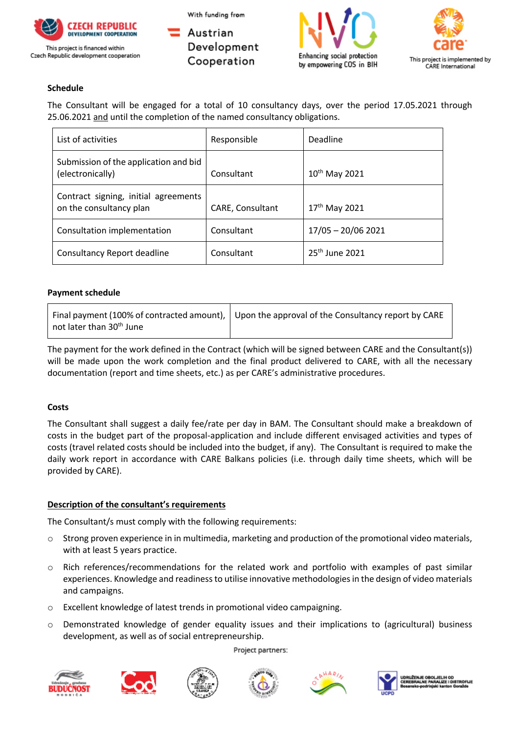

Austrian Development Cooperation





## **Schedule**

The Consultant will be engaged for a total of 10 consultancy days, over the period 17.05.2021 through 25.06.2021 and until the completion of the named consultancy obligations.

| List of activities                                              | Responsible      | Deadline                  |  |
|-----------------------------------------------------------------|------------------|---------------------------|--|
| Submission of the application and bid<br>(electronically)       | Consultant       | 10 <sup>th</sup> May 2021 |  |
| Contract signing, initial agreements<br>on the consultancy plan | CARE, Consultant | $17^{th}$ May 2021        |  |
| Consultation implementation                                     | Consultant       | $17/05 - 20/06 2021$      |  |
| Consultancy Report deadline                                     | Consultant       | $25th$ June 2021          |  |

## **Payment schedule**

|                                      | Final payment (100% of contracted amount), $\vert$ Upon the approval of the Consultancy report by CARE |
|--------------------------------------|--------------------------------------------------------------------------------------------------------|
| not later than 30 <sup>th</sup> June |                                                                                                        |

The payment for the work defined in the Contract (which will be signed between CARE and the Consultant(s)) will be made upon the work completion and the final product delivered to CARE, with all the necessary documentation (report and time sheets, etc.) as per CARE's administrative procedures.

#### **Costs**

The Consultant shall suggest a daily fee/rate per day in BAM. The Consultant should make a breakdown of costs in the budget part of the proposal-application and include different envisaged activities and types of costs (travel related costs should be included into the budget, if any). The Consultant is required to make the daily work report in accordance with CARE Balkans policies (i.e. through daily time sheets, which will be provided by CARE).

## **Description of the consultant's requirements**

The Consultant/s must comply with the following requirements:

- o Strong proven experience in in multimedia, marketing and production of the promotional video materials, with at least 5 years practice.
- o Rich references/recommendations for the related work and portfolio with examples of past similar experiences. Knowledge and readiness to utilise innovative methodologies in the design of video materials and campaigns.
- o Excellent knowledge of latest trends in promotional video campaigning.
- o Demonstrated knowledge of gender equality issues and their implications to (agricultural) business development, as well as of social entrepreneurship.

Project partners: